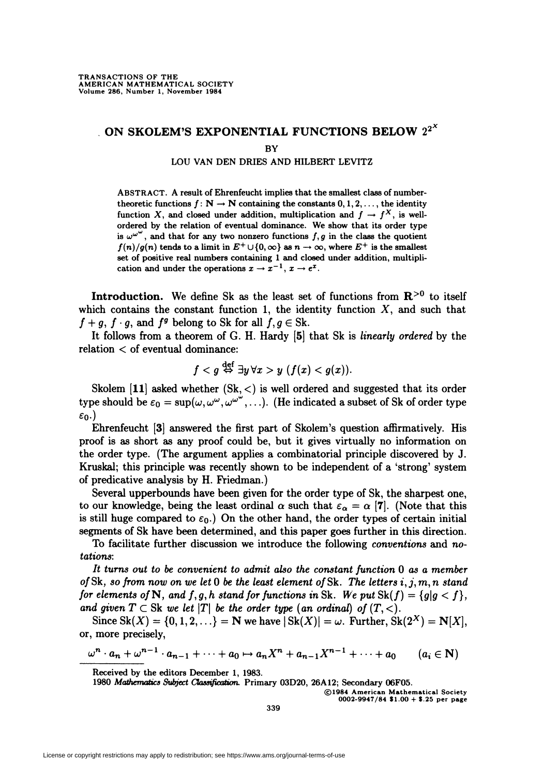# . ON SKOLEM'S EXPONENTIAL FUNCTIONS BELOW  $2^{2^X}$

**BY** 

#### LOU VAN DEN DRIES AND HILBERT LEVITZ

ABSTRACT. A result of Ehrenfeucht implies that the smallest class of numbertheoretic functions  $f: \mathbb{N} \to \mathbb{N}$  containing the constants  $0, 1, 2, \ldots$ , the identity function X, and closed under addition, multiplication and  $f \to f^X$ , is wellordered by the relation of eventual dominance. We show that its order type is  $\omega^{\omega^{\omega}}$ , and that for any two nonzero functions  $f, g$  in the class the quotient  $f(n)/g(n)$  tends to a limit in  $E^+ \cup \{0,\infty\}$  as  $n \to \infty$ , where  $E^+$  is the smallest set of positive real numbers containing 1 and closed under addition, multiplication and under the operations  $x \to x^{-1}$ ,  $x \to e^x$ .

Introduction. We define Sk as the least set of functions from  $\mathbb{R}^{>0}$  to itself which contains the constant function 1, the identity function  $X$ , and such that  $f + g$ ,  $f \cdot g$ , and  $f^g$  belong to Sk for all  $f, g \in Sk$ .

It follows from a theorem of G. H. Hardy [5] that Sk is linearly ordered by the relation < of eventual dominance:

$$
f < g \stackrel{\text{def}}{\Leftrightarrow} \exists y \, \forall x > y \, (f(x) < g(x)).
$$

Skolem  $\mathbf{[11]}$  asked whether  $(\mathrm{Sk}, <)$  is well ordered and suggested that its order type should be  $\varepsilon_0 = \sup(\omega, \omega^{\omega}, \omega^{\omega^{\omega}}, \ldots)$ . (He indicated a subset of Sk of order type  $\varepsilon_0$ .)

Ehrenfeucht [3] answered the first part of Skolem's question affirmatively. His proof is as short as any proof could be, but it gives virtually no information on the order type. (The argument applies a combinatorial principle discovered by J. Kruskal; this principle was recently shown to be independent of a 'strong' system of predicative analysis by H. Friedman.)

Several upperbounds have been given for the order type of Sk, the sharpest one, to our knowledge, being the least ordinal  $\alpha$  such that  $\varepsilon_{\alpha} = \alpha$  [7]. (Note that this is still huge compared to  $\varepsilon_0$ .) On the other hand, the order types of certain initial segments of Sk have been determined, and this paper goes further in this direction.

To facilitate further discussion we introduce the following conventions and notations:

It turns out to be convenient to admit also the constant function 0 as a member of Sk, so from now on we let 0 be the least element of Sk. The letters  $i, j, m, n$  stand for elements of N, and f, g, h stand for functions in Sk. We put  $\text{Sk}(f) = \{g | g < f\},$ and given  $T \subset Sk$  we let  $|T|$  be the order type (an ordinal) of  $(T, <)$ .

Since  $\text{Sk}(X) = \{0, 1, 2, \ldots\} = \mathbb{N}$  we have  $|\text{Sk}(X)| = \omega$ . Further,  $\text{Sk}(2^X) = \mathbb{N}[X]$ , or, more precisely,

 $\omega^{n} \cdot a_{n} + \omega^{n-1} \cdot a_{n-1} + \cdots + a_{0} \mapsto a_{n}X^{n} + a_{n-1}X^{n-1} + \cdots + a_{0} \qquad (a_{i} \in \mathbb{N})$ 

©1984 American Mathematical Society 0002-9947/84  $1.00 + 2.25$  per page

Received by the editors December 1, 1983.

<sup>1980</sup> Mathematics Subject Classification. Primary 03D20, 26A12; Secondary 06F05.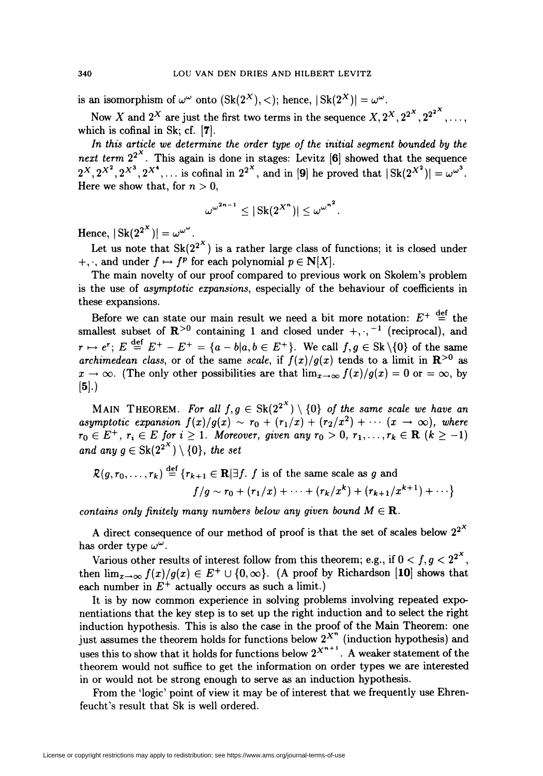is an isomorphism of  $\omega^{\omega}$  onto  $(Sk(2^X), <)$ ; hence,  $|Sk(2^X)| = \omega^{\omega}$ .

Now X and  $2^X$  are just the first two terms in the sequence  $X, 2^X, 2^{2^X}, 2^{2^{2^X}}, \ldots$ which is cofinal in Sk; cf.  $[7]$ .

In this article we determine the order type of the initial segment bounded by the next term  $2^{2^X}$ . This again is done in stages: Levitz [6] showed that the sequence  $2^X, 2^{X^2}, 2^{X^3}, 2^{X^4}, \dots$  is cofinal in  $2^{2^X}$ , and in [9] he proved that  $|\operatorname{Sk}(2^{X^2})| = \omega^{\omega^3}$ . Here we show that, for  $n > 0$ ,

$$
\omega^{\omega^{2n-1}} \leq |\operatorname{Sk}(2^{X^n})| \leq {\omega^\omega}^{n^2}.
$$

Hence,  $|\operatorname{Sk}(2^{2^X})| = \omega^{\omega^{\omega}}$ .

Let us note that  $Sk(2^{2^X})$  is a rather large class of functions; it is closed under  $+$ , and under  $f \mapsto f^p$  for each polynomial  $p \in N[X]$ .

The main novelty of our proof compared to previous work on Skolem's problem is the use of asymptotic expansions, especially of the behaviour of coefficients in these expansions.

Before we can state our main result we need a bit more notation:  $E^+ \stackrel{\text{def}}{=}$  the smallest subset of  $\mathbb{R}^{>0}$  containing 1 and closed under  $+,-1$  (reciprocal), and  $r \mapsto e^r$ ;  $E \stackrel{\text{def}}{=} E^+ - E^+ = \{a - b\vert a,b \in E^+\}$ . We call  $f,g \in Sk\setminus\{0\}$  of the same archimedean class, or of the same scale, if  $f(x)/g(x)$  tends to a limit in  $\mathbf{R}^{\geq 0}$  as  $x\to\infty$ . (The only other possibilities are that  $\lim_{x\to\infty} f(x)/g(x) = 0$  or  $=\infty$ , by  $[5].)$ 

MAIN THEOREM. For all  $f,g \in Sk(2^{2^X}) \setminus \{0\}$  of the same scale we have an asymptotic expansion  $f(x)/g(x) \sim r_0 + (r_1/x) + (r_2/x^2) + \cdots (x \to \infty)$ , where  $r_0 \in E^+$ ,  $r_i \in E$  for  $i \geq 1$ . Moreover, given any  $r_0 > 0$ ,  $r_1, \ldots, r_k \in \mathbf{R}$   $(k \geq -1)$ and any  $g \in Sk(2^{2^X}) \setminus \{0\}$ , the set

$$
\mathcal{R}(g,r_0,\ldots,r_k) \stackrel{\text{def}}{=} \{r_{k+1} \in \mathbf{R} \mid \exists f. \ f \text{ is of the same scale as } g \text{ and}
$$

$$
f/g \sim r_0 + (r_1/x) + \cdots + (r_k/x^k) + (r_{k+1}/x^{k+1}) + \cdots \}
$$

contains only finitely many numbers below any given bound  $M \in \mathbf{R}$ .

A direct consequence of our method of proof is that the set of scales below  $2^{2^{\lambda}}$ has order type  $\omega^{\omega}$ .

Various other results of interest follow from this theorem; e.g., if  $0 < f, g < 2^{2^X}$ then  $\lim_{x\to\infty} f(x)/g(x) \in E^+ \cup \{0,\infty\}$ . (A proof by Richardson [10] shows that each number in  $E^+$  actually occurs as such a limit.)

It is by now common experience in solving problems involving repeated exponentiations that the key step is to set up the right induction and to select the right induction hypothesis. This is also the case in the proof of the Main Theorem: one just assumes the theorem holds for functions below  $2^{\mathcal{A}}$  (induction hypothesis) and uses this to show that it holds for functions below  $2^{X^{n+1}}$  . A weaker statement of the theorem would not suffice to get the information on order types we are interested in or would not be strong enough to serve as an induction hypothesis.

From the 'logic' point of view it may be of interest that we frequently use Ehrenfeucht's result that Sk is well ordered.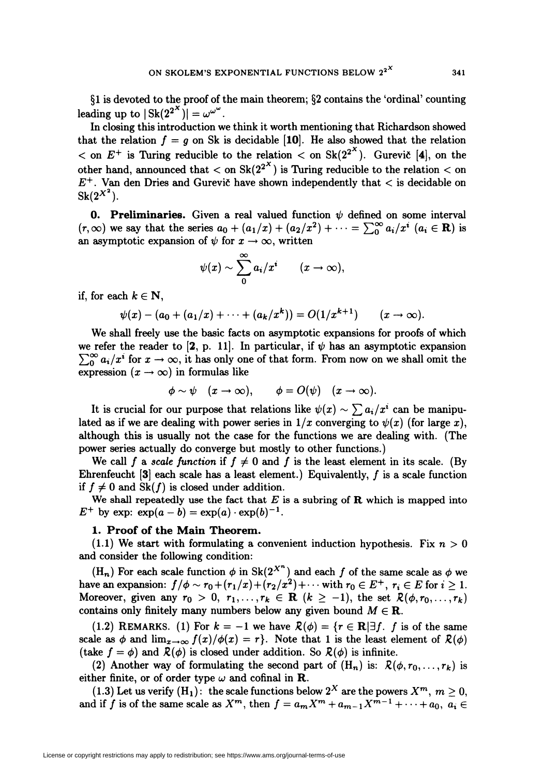§1 is devoted to the proof of the main theorem; §2 contains the 'ordinal' counting leading up to  $|\text{Sk}(2^{2^X})|=\omega^{\omega^{\omega}}$ .

In closing this introduction we think it worth mentioning that Richardson showed that the relation  $f = g$  on Sk is decidable [10]. He also showed that the relation  $<$  on  $E^+$  is Turing reducible to the relation  $<$  on Sk(2<sup>2x</sup>). Gurevic [4], on the other hand, announced that  $<$  on Sk( $2^{2^X}$ ) is Turing reducible to the relation  $<$  on  $E^+$ . Van den Dries and Gurevic have shown independently that  $\lt$  is decidable on  $Sk(2^{X^2})$ .

**0. Preliminaries.** Given a real valued function  $\psi$  defined on some interval  $(r,\infty)$  we say that the series  $a_0 + (a_1/x) + (a_2/x^2) + \cdots = \sum_{n=0}^{\infty} a_i/x^i$   $(a_i \in \mathbb{R})$  is an asymptotic expansion of  $\psi$  for  $x \to \infty$ , written

$$
\psi(x) \sim \sum_{0}^{\infty} a_i/x^i \qquad (x \to \infty),
$$

if, for each  $k \in \mathbb{N}$ ,

 $\psi(x) - (a_0 + (a_1/x) + \cdots + (a_k/x^k)) = O(1/x^{k+1}) \quad (x \to \infty).$ 

We shall freely use the basic facts on asymptotic expansions for proofs of which we refer the reader to [2, p. 11]. In particular, if  $\psi$  has an asymptotic expansion  $\sum_{n=0}^{\infty} a_i/x^i$  for  $x \to \infty$ , it has only one of that form. From now on we shall omit the expression  $(x \to \infty)$  in formulas like

$$
\phi \sim \psi \quad (x \to \infty), \qquad \phi = O(\psi) \quad (x \to \infty).
$$

It is crucial for our purpose that relations like  $\psi(x) \sim \sum a_i/x^i$  can be manipulated as if we are dealing with power series in  $1/x$  converging to  $\psi(x)$  (for large x), although this is usually not the case for the functions we are dealing with. (The power series actually do converge but mostly to other functions.)

We call f a scale function if  $f \neq 0$  and f is the least element in its scale. (By Ehrenfeucht  $[3]$  each scale has a least element.) Equivalently, f is a scale function if  $f \neq 0$  and Sk(f) is closed under addition.

We shall repeatedly use the fact that  $E$  is a subring of  $R$  which is mapped into  $E^+$  by exp:  $\exp(a-b) = \exp(a) \cdot \exp(b)^{-1}$ .

### 1. Proof of the Main Theorem.

 $(1.1)$  We start with formulating a convenient induction hypothesis. Fix  $n > 0$ and consider the following condition:

 $(H_n)$  For each scale function  $\phi$  in Sk( $2^{X^n}$ ) and each f of the same scale as  $\phi$  we have an expansion:  $f/\phi \sim r_0 + (r_1/x) + (r_2/x^2) + \cdots$  with  $r_0 \in E^+$ ,  $r_i \in E$  for  $i \geq 1$ . Moreover, given any  $r_0 > 0$ ,  $r_1, \ldots, r_k \in \mathbb{R}$   $(k \ge -1)$ , the set  $\mathcal{R}(\phi, r_0, \ldots, r_k)$ contains only finitely many numbers below any given bound  $M \in \mathbb{R}$ .

(1.2) REMARKS. (1) For  $k = -1$  we have  $\mathcal{R}(\phi) = \{r \in \mathbb{R} | \exists f$ . f is of the same scale as  $\phi$  and  $\lim_{x\to\infty} f(x)/\phi(x) = r$ . Note that 1 is the least element of  $\mathcal{R}(\phi)$ (take  $f = \phi$ ) and  $\mathcal{R}(\phi)$  is closed under addition. So  $\mathcal{R}(\phi)$  is infinite.

(2) Another way of formulating the second part of  $(H_n)$  is:  $\mathcal{R}(\phi, r_0, \ldots, r_k)$  is either finite, or of order type  $\omega$  and cofinal in **R**.

(1.3) Let us verify  $(H_1)$ : the scale functions below  $2^X$  are the powers  $X^m$ ,  $m > 0$ , and if f is of the same scale as  $X^m$ , then  $f = a_m X^m + a_{m-1} X^{m-1} + \cdots + a_0, a_i \in$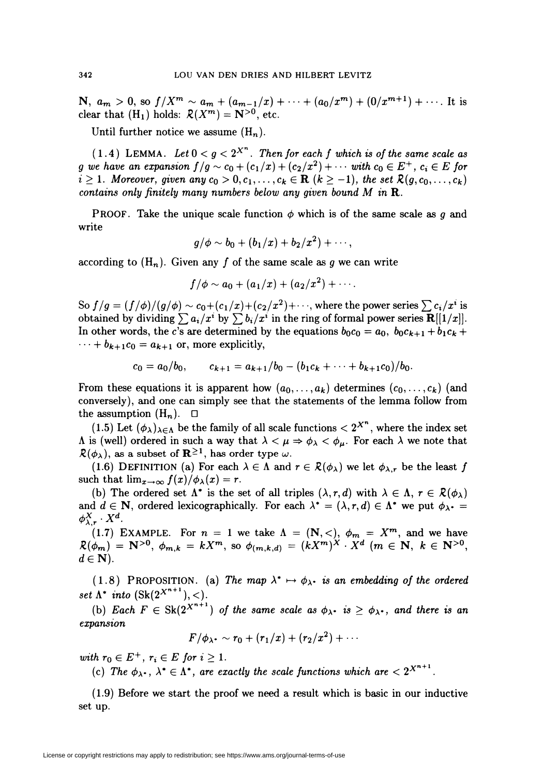N,  $a_m > 0$ , so  $f/X^m \sim a_m + (a_{m-1}/x) + \cdots + (a_0/x^m) + (0/x^{m+1}) + \cdots$ . It is clear that  $(H_1)$  holds:  $\mathcal{R}(X^m) = \mathbb{N}^{>0}$ , etc.

Until further notice we assume  $(H_n)$ .

(1.4) LEMMA. Let  $0 < g < 2^{X^n}$ . Then for each f which is of the same scale as g we have an expansion  $f/g \sim c_0 + (c_1/x) + (c_2/x^2) + \cdots$  with  $c_0 \in E^+$ ,  $c_i \in E$  for  $i \geq 1$ . Moreover, given any  $c_0 > 0, c_1, \ldots, c_k \in \mathbf{R}$   $(k \geq -1)$ , the set  $\mathcal{R}(g, c_0, \ldots, c_k)$ contains only finitely many numbers below any given bound  $M$  in  $\mathbf R$ .

**PROOF.** Take the unique scale function  $\phi$  which is of the same scale as g and write

$$
g/\phi \sim b_0 + (b_1/x) + b_2/x^2) + \cdots,
$$

according to  $(H_n)$ . Given any f of the same scale as g we can write

$$
f/\phi \sim a_0 + (a_1/x) + (a_2/x^2) + \cdots.
$$

So  $f/g = (f/\phi)/(g/\phi) \sim c_0 + (c_1/x) + (c_2/x^2)+\cdots$ , where the power series  $\sum c_i/x^i$  is obtained by dividing  $\sum a_i/x^i$  by  $\sum b_i/x^i$  in the ring of formal power series  $\mathbf{R}[[1/x]]$ . In other words, the c's are determined by the equations  $b_0c_0 = a_0$ ,  $b_0c_{k+1} + b_1c_k +$  $\cdots + b_{k+1}c_0 = a_{k+1}$  or, more explicitly,

$$
c_0 = a_0/b_0, \qquad c_{k+1} = a_{k+1}/b_0 - (b_1c_k + \cdots + b_{k+1}c_0)/b_0.
$$

From these equations it is apparent how  $(a_0, \ldots, a_k)$  determines  $(c_0, \ldots, c_k)$  (and conversely), and one can simply see that the statements of the lemma follow from the assumption  $(H_n)$ .  $\Box$ 

(1.5) Let  $(\phi_{\lambda})_{\lambda\in\Lambda}$  be the family of all scale functions  $\langle 2^{X^n}$ , where the index set  $\Lambda$  is (well) ordered in such a way that  $\lambda < \mu \Rightarrow \phi_{\lambda} < \phi_{\mu}$ . For each  $\lambda$  we note that  $\mathcal{R}(\phi_{\lambda})$ , as a subset of  $\mathbb{R}^{\geq 1}$ , has order type w.

(1.6) DEFINITION (a) For each  $\lambda \in \Lambda$  and  $r \in \mathcal{R}(\phi_\lambda)$  we let  $\phi_{\lambda,r}$  be the least f such that  $\lim_{x\to\infty} f(x)/\phi_{\lambda}(x) = r$ .

(b) The ordered set  $\Lambda^*$  is the set of all triples  $(\lambda, r, d)$  with  $\lambda \in \Lambda$ ,  $r \in \mathcal{R}(\phi_\lambda)$ and  $d \in \mathbb{N}$ , ordered lexicographically. For each  $\lambda^* = (\lambda, r, d) \in \Lambda^*$  we put  $\phi_{\lambda^*} =$  $\phi_{\lambda,r}^X\cdot X^d$ .

(1.7) EXAMPLE. For  $n = 1$  we take  $\Lambda = (\mathbf{N}, <), \ \phi_m = X^m,$  and we have  ${\mathcal{R}}(\phi_{\bm{m}})\,=\,{\bf N}^{>0},\ \phi_{{\bm{m}},\bm{k}}\,=\,kX^{\bm{m}},\ {\rm so}\ \phi_{(\bm{m},\bm{k},\bm{d})}\,=\, (kX^{\bm{m}})^X\,\cdot\,X^{\bm{d}}\ \,(\bm{m}\,\in\,\mathbf{N},\ \,k\,\in\,\mathbf{N}^{>0},$  $d \in \mathbf{N}$ ).

(1.8) PROPOSITION. (a) The map  $\lambda^* \mapsto \phi_{\lambda}$  is an embedding of the ordered set  $\Lambda^*$  into  $(Sk(2^{X^{n+1}}),<)$ .

(b) Each  $F \in Sk(2^{X^{n+1}})$  of the same scale as  $\phi_{\lambda}$ - is  $\geq \phi_{\lambda}$ -, and there is an expansion

$$
F/\phi_{\lambda} \cdot \sim r_0 + (r_1/x) + (r_2/x^2) + \cdots
$$

with  $r_0 \in E^+$ ,  $r_i \in E$  for  $i \geq 1$ .

(c) The  $\phi_{\lambda^*}, \lambda^* \in \Lambda^*$ , are exactly the scale functions which are  $\langle 2^{X^{n+1}} \rangle$ .

(1.9) Before we start the proof we need a result which is basic in our inductive set up.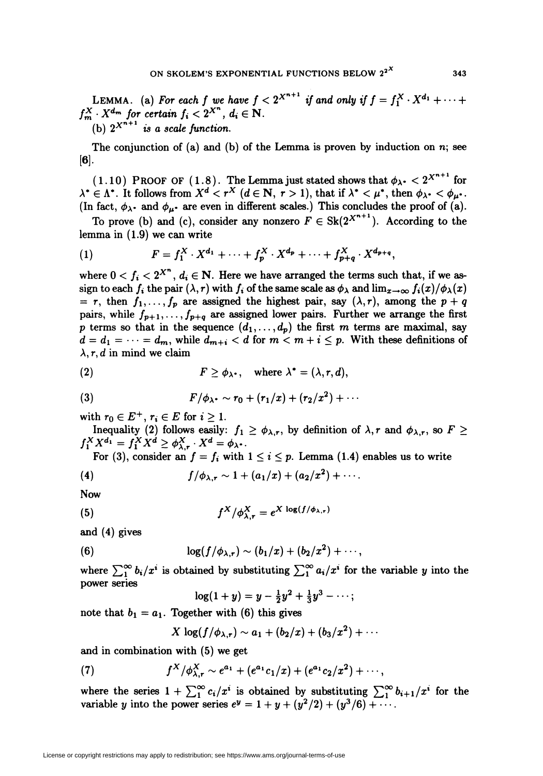LEMMA. (a) For each f we have  $f < 2^{X^{n+1}}$  if and only if  $f = f_1^X \cdot X^{d_1} + \cdots$  $f_m^X \cdot X^{d_m}$  for certain  $f_i < 2^{X^n}$ ,  $d_i \in \mathbb{N}$ . (b)  $2^{X^{n+1}}$  is a scale function.

The conjunction of (a) and (b) of the Lemma is proven by induction on  $n$ ; see [6].

 $(1.10)$  PROOF OF  $(1.8)$ . The Lemma just stated shows that  $\phi_{\lambda^*} < 2^{\lambda^{n+1}}$  for  $\lambda^*\in \Lambda^*$ . It follows from  $X^d < r^X$   $(d\in \mathbf{N}, r > 1)$ , that if  $\lambda^* < \mu^*$ , then  $\phi_{\lambda^*} < \phi_{\mu^*}$ (In fact,  $\phi_{\lambda}$  and  $\phi_{\mu}$  are even in different scales.) This concludes the proof of (a).

To prove (b) and (c), consider any nonzero  $F \in Sk(2^{X^{n+1}})$ . According to the lemma in (1.9) we can write

(1) 
$$
F = f_1^X \cdot X^{d_1} + \cdots + f_p^X \cdot X^{d_p} + \cdots + f_{p+q}^X \cdot X^{d_{p+q}},
$$

where  $0 < f_i < 2^{X^n}$ ,  $d_i \in \mathbb{N}$ . Here we have arranged the terms such that, if we assign to each  $f_i$  the pair  $(\lambda, r)$  with  $f_i$  of the same scale as  $\phi_\lambda$  and  $\lim_{x\to\infty} f_i(x)/\phi_\lambda(x)$  $= r$ , then  $f_1,\ldots,f_p$  are assigned the highest pair, say  $(\lambda,r)$ , among the  $p + q$ pairs, while  $f_{p+1},..., f_{p+q}$  are assigned lower pairs. Further we arrange the first p terms so that in the sequence  $(d_1,\ldots,d_p)$  the first m terms are maximal, say  $d = d_1 = \cdots = d_m$ , while  $d_{m+i} < d$  for  $m < m+i \leq p$ . With these definitions of  $\lambda$ , r, d in mind we claim

(2) 
$$
F \geq \phi_{\lambda^*}, \quad \text{where } \lambda^* = (\lambda, r, d),
$$

(3) 
$$
F/\phi_{\lambda} \sim r_0 + (r_1/x) + (r_2/x^2) + \cdots
$$

with  $r_0 \in E^+$ ,  $r_i \in E$  for  $i \geq 1$ .

Inequality (2) follows easily:  $f_1 \ge \phi_{\lambda,r}$ , by definition of  $\lambda, r$  and  $\phi_{\lambda,r}$ , so  $F \ge$  $f_1^X X^{d_1} = f_1^X X^d \ge \phi_{\lambda,\tau}^X \cdot X^d = \phi_{\lambda}.$ 

For (3), consider an  $f = f_i$  with  $1 \le i \le p$ . Lemma (1.4) enables us to write

(4) 
$$
f/\phi_{\lambda,r} \sim 1 + (a_1/x) + (a_2/x^2) + \cdots
$$

Now

(5) 
$$
f^X/\phi^X_{\lambda,\tau}=e^{X \log(f/\phi_{\lambda,\tau})}
$$

and (4) gives

(6) 
$$
\log(f/\phi_{\lambda,r}) \sim (b_1/x) + (b_2/x^2) + \cdots,
$$

where  $\sum_{i=1}^{\infty} b_i/x^i$  is obtained by substituting  $\sum_{i=1}^{\infty} a_i/x^i$  for the variable y into the power series

$$
\log(1+y) = y - \frac{1}{2}y^2 + \frac{1}{3}y^3 - \cdots;
$$

note that  $b_1 = a_1$ . Together with (6) this gives

$$
X \log(f/\phi_{\lambda,r}) \sim a_1 + (b_2/x) + (b_3/x^2) + \cdots
$$

and in combination with (5) we get

(7) 
$$
f^X/\phi_{\lambda,r}^X \sim e^{a_1} + (e^{a_1}c_1/x) + (e^{a_1}c_2/x^2) + \cdots,
$$

where the series  $1 + \sum_{i=1}^{\infty} c_i/x^i$  is obtained by substituting  $\sum_{i=1}^{\infty} b_{i+1}/x^i$  for the variable y into the power series  $e^y = 1 + y + (y^2/2) + (y^3/6) + \cdots$ .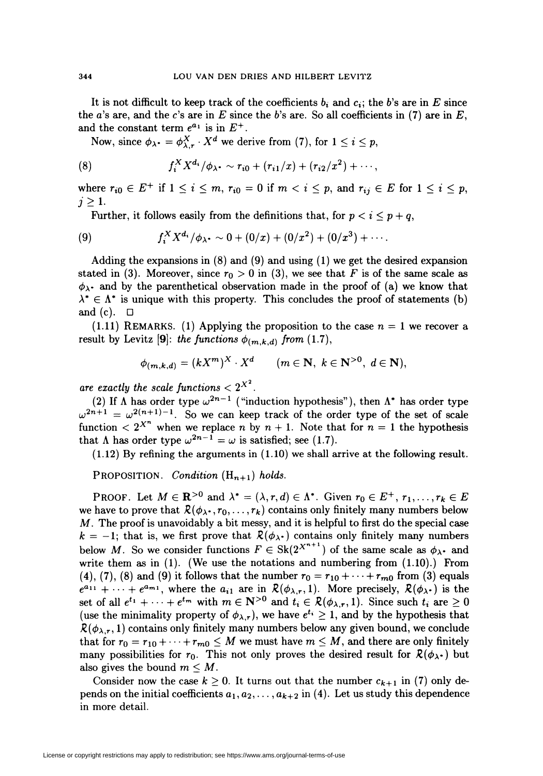It is not difficult to keep track of the coefficients  $b_i$  and  $c_i$ ; the b's are in E since the a's are, and the c's are in  $E$  since the b's are. So all coefficients in (7) are in  $E$ , and the constant term  $e^{a_1}$  is in  $E^+$ .

Now, since  $\phi_{\lambda} = \phi_{\lambda,r}^X \cdot X^d$  we derive from (7), for  $1 \leq i \leq p$ ,

(8) 
$$
f_i^X X^{d_i}/\phi_{\lambda} \sim r_{i0} + (r_{i1}/x) + (r_{i2}/x^2) + \cdots,
$$

where  $r_{i0} \in E^+$  if  $1 \leq i \leq m$ ,  $r_{i0} = 0$  if  $m < i \leq p$ , and  $r_{ij} \in E$  for  $1 \leq i \leq p$ ,  $j \geq 1$ .

Further, it follows easily from the definitions that, for  $p < i \leq p+q$ ,

(9) 
$$
f_i^X X^{d_i}/\phi_{\lambda^*} \sim 0 + (0/x) + (0/x^2) + (0/x^3) + \cdots.
$$

Adding the expansions in  $(8)$  and  $(9)$  and using  $(1)$  we get the desired expansion stated in (3). Moreover, since  $r_0 > 0$  in (3), we see that F is of the same scale as  $\phi_{\lambda}$  and by the parenthetical observation made in the proof of (a) we know that  $\lambda^* \in \Lambda^*$  is unique with this property. This concludes the proof of statements (b) and (c).  $\Box$ 

 $(1.11)$  REMARKS. (1) Applying the proposition to the case  $n = 1$  we recover a result by Levitz [9]: the functions  $\phi_{(m,k,d)}$  from (1.7),

$$
\phi_{(m,k,d)} = (kX^m)^X \cdot X^d \qquad (m \in \mathbb{N}, \ k \in \mathbb{N}^{>0}, \ d \in \mathbb{N}),
$$

are exactly the scale functions  $\langle 2^{X^2} \rangle$ .

(2) If  $\Lambda$  has order type  $\omega^{2n-1}$  ("induction hypothesis"), then  $\Lambda^*$  has order type  $\omega^{2n+1} = \omega^{2(n+1)-1}$ . So we can keep track of the order type of the set of scale function  $\langle 2^{X^n}$  when we replace n by  $n+1$ . Note that for  $n=1$  the hypothesis that  $\Lambda$  has order type  $\omega^{2n-1} = \omega$  is satisfied; see (1.7).

(1.12) By refining the arguments in (1.10) we shall arrive at the following result.

PROPOSITION. Condition  $(H_{n+1})$  holds.

**PROOF.** Let  $M \in \mathbb{R}^{>0}$  and  $\lambda^* = (\lambda, r, d) \in \Lambda^*$ . Given  $r_0 \in E^+$ ,  $r_1, \ldots, r_k \in E$ we have to prove that  $\mathcal{R}(\phi_{\lambda},r_0,\ldots,r_k)$  contains only finitely many numbers below  $M$ . The proof is unavoidably a bit messy, and it is helpful to first do the special case  $k = -1$ ; that is, we first prove that  $\mathcal{R}(\phi_{\lambda})$  contains only finitely many numbers below M. So we consider functions  $F \in Sk(2^{X^{n+1}})$  of the same scale as  $\phi_{\lambda}$  and write them as in  $(1)$ . (We use the notations and numbering from  $(1.10)$ .) From (4), (7), (8) and (9) it follows that the number  $r_0 = r_{10} + \cdots + r_{m0}$  from (3) equals  $e^{a_{11}} + \cdots + e^{a_{m1}}$ , where the  $a_{i1}$  are in  $\mathcal{R}(\phi_{\lambda,r}, 1)$ . More precisely,  $\mathcal{R}(\phi_{\lambda}.)$  is the set of all  $e^{t_1} + \cdots + e^{t_m}$  with  $m \in \mathbb{N}^{>0}$  and  $t_i \in \mathcal{R}(\phi_{\lambda,\tau}, 1)$ . Since such  $t_i$  are  $\geq 0$ (use the minimality property of  $\phi_{\lambda,r}$ ), we have  $e^{t_i} \geq 1$ , and by the hypothesis that  $\mathcal{R}(\phi_{\lambda,r}, 1)$  contains only finitely many numbers below any given bound, we conclude that for  $r_0 = r_{10} + \cdots + r_{m0} \leq M$  we must have  $m \leq M$ , and there are only finitely many possibilities for  $r_0$ . This not only proves the desired result for  $\mathcal{R}(\phi_{\lambda})$  but also gives the bound  $m \leq M$ .

Consider now the case  $k \geq 0$ . It turns out that the number  $c_{k+1}$  in (7) only depends on the initial coefficients  $a_1, a_2, \ldots, a_{k+2}$  in (4). Let us study this dependence in more detail.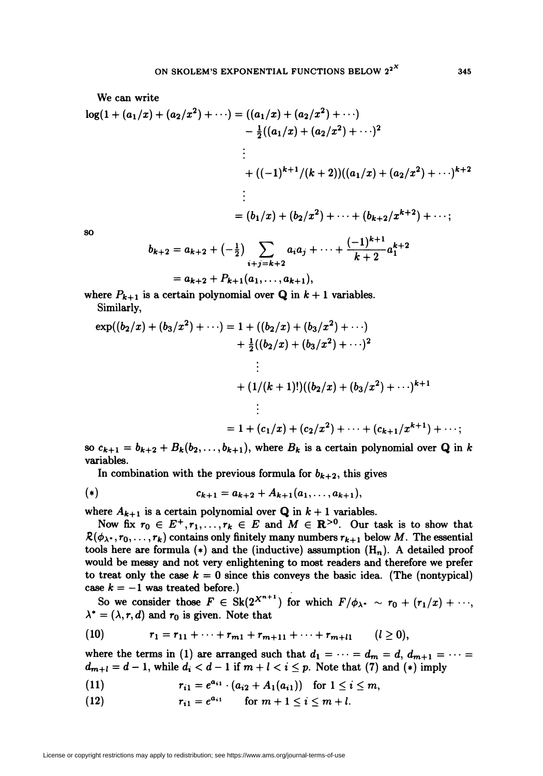We can write  
\n
$$
\log(1 + (a_1/x) + (a_2/x^2) + \cdots) = ((a_1/x) + (a_2/x^2) + \cdots)
$$
\n
$$
- \frac{1}{2}((a_1/x) + (a_2/x^2) + \cdots)^2
$$
\n
$$
\vdots
$$
\n
$$
+ ((-1)^{k+1}/(k+2))((a_1/x) + (a_2/x^2) + \cdots)^{k+2}
$$
\n
$$
\vdots
$$
\n
$$
= (b_1/x) + (b_2/x^2) + \cdots + (b_{k+2}/x^{k+2}) + \cdots;
$$
\nso

so

$$
b_{k+2} = a_{k+2} + \left(-\frac{1}{2}\right) \sum_{i+j=k+2} a_i a_j + \dots + \frac{(-1)^{k+1}}{k+2} a_1^{k+2}
$$
  
=  $a_{k+2} + P_{k+1}(a_1, \dots, a_{k+1}),$ 

where 
$$
P_{k+1}
$$
 is a certain polynomial over **Q** in  $k+1$  variables. Similarly,

$$
\exp((b_2/x) + (b_3/x^2) + \cdots) = 1 + ((b_2/x) + (b_3/x^2) + \cdots)
$$
  
+  $\frac{1}{2}((b_2/x) + (b_3/x^2) + \cdots)^2$   
  
 $\vdots$   
+  $(1/(k+1)!)((b_2/x) + (b_3/x^2) + \cdots)^{k+1}$   
  
 $\vdots$   
=  $1 + (c_1/x) + (c_2/x^2) + \cdots + (c_{k+1}/x^{k+1}) + \cdots;$ 

so  $c_{k+1} = b_{k+2} + B_k(b_2, \ldots, b_{k+1})$ , where  $B_k$  is a certain polynomial over Q in k variables.

In combination with the previous formula for  $b_{k+2}$ , this gives

(\*) 
$$
c_{k+1} = a_{k+2} + A_{k+1}(a_1, \ldots, a_{k+1}),
$$

where  $A_{k+1}$  is a certain polynomial over **Q** in  $k+1$  variables.

Now fix  $r_0 \in E^+, r_1,\ldots, r_k \in E$  and  $M \in \mathbb{R}^{>0}$ . Our task is to show that  $R(\phi_{\lambda^*}, r_0, \ldots, r_k)$  contains only finitely many numbers  $r_{k+1}$  below M. The essential tools here are formula  $(*)$  and the (inductive) assumption  $(H_n)$ . A detailed proof would be messy and not very enlightening to most readers and therefore we prefer to treat only the case  $k = 0$  since this conveys the basic idea. (The (nontypical) case  $k = -1$  was treated before.)

So we consider those  $F \in Sk(2^{X^{n+1}})$  for which  $F/\phi_{\lambda}$ .  $\sim r_0 + (r_1/x) + \cdots$ ,  $\lambda^* = (\lambda, r, d)$  and  $r_0$  is given. Note that

(10) 
$$
r_1 = r_{11} + \cdots + r_{m1} + r_{m+11} + \cdots + r_{m+l1} \qquad (l \geq 0),
$$

where the terms in (1) are arranged such that  $d_1 = \cdots = d_m = d, d_{m+1} = \cdots =$  $d_{m+l} = d-1$ , while  $d_i < d-1$  if  $m+l < i \leq p$ . Note that (7) and (\*) imply

(11) r¿i =ea"-(ai2 +Ax(atl)) for 1 < i < m,

(12)  $r_{i1} = e^{a_{i1}}$  for  $m + 1 < i < m + l$ .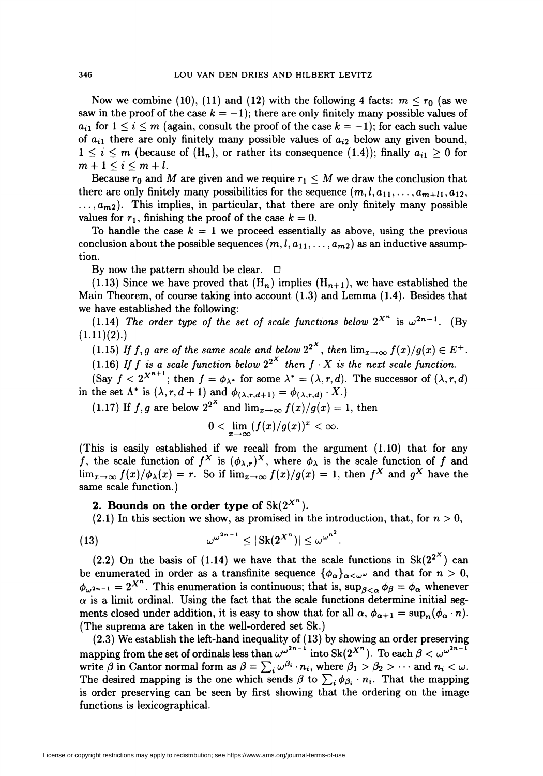Now we combine (10), (11) and (12) with the following 4 facts:  $m \le r_0$  (as we saw in the proof of the case  $k = -1$ ); there are only finitely many possible values of  $a_{i1}$  for  $1 \le i \le m$  (again, consult the proof of the case  $k = -1$ ); for each such value of  $a_{i1}$  there are only finitely many possible values of  $a_{i2}$  below any given bound,  $1 \leq i \leq m$  (because of  $(H_n)$ , or rather its consequence  $(1.4)$ ); finally  $a_{i1} \geq 0$  for  $m+1\leq i\leq m+l$ .

Because  $r_0$  and M are given and we require  $r_1 \leq M$  we draw the conclusion that there are only finitely many possibilities for the sequence  $(m, l, a_{11}, \ldots, a_{m+l}, a_{12},$  $..., a_{m2}$ ). This implies, in particular, that there are only finitely many possible values for  $r_1$ , finishing the proof of the case  $k = 0$ .

To handle the case  $k = 1$  we proceed essentially as above, using the previous conclusion about the possible sequences  $(m, l, a_{11},..., a_{m2})$  as an inductive assumption.

By now the pattern should be clear.  $\Box$ 

(1.13) Since we have proved that  $(H_n)$  implies  $(H_{n+1})$ , we have established the Main Theorem, of course taking into account (1.3) and Lemma (1.4). Besides that we have established the following:

(1.14) The order type of the set of scale functions below  $2^{X^n}$  is  $\omega^{2n-1}$ . (By  $(1.11)(2).$ 

 $(1.15)$  If  $f,g$  are of the same scale and below  $2^{2^{**}}$ , then  $\lim_{x\to\infty}f(x)/g(x)\in E^+$ .

(1.16) If f is a scale function below  $2^{2^{n}}$  then f  $\cdot$  X is the next scale function.

(Say  $f < 2^{X^{n+1}}$ ; then  $f = \phi_{\lambda}$  for some  $\lambda^* = (\lambda, r, d)$ . The successor of  $(\lambda, r, d)$ in the set  $\Lambda^*$  is  $(\lambda, r, d+1)$  and  $\phi_{(\lambda, r, d+1)} = \phi_{(\lambda, r, d)} \cdot X$ .

(1.17) If f, q are below  $2^{2^X}$  and  $\lim_{x\to\infty} f(x)/g(x) = 1$ , then

$$
0<\lim_{x\to\infty}(f(x)/g(x))^x<\infty.
$$

(This is easily established if we recall from the argument (1.10) that for any f, the scale function of  $f^X$  is  $(\phi_{\lambda,\tau})^X$ , where  $\phi_{\lambda}$  is the scale function of f and  $\lim_{x\to\infty}f(x)/\phi_\lambda(x) = r$ . So if  $\lim_{x\to\infty}f(x)/g(x) = 1$ , then  $f^{\lambda}$  and  $g^{\lambda}$  have the same scale function.)

## 2. Bounds on the order type of  $Sk(2^{X^n})$ .

(2.1) In this section we show, as promised in the introduction, that, for  $n > 0$ ,

(13) a/"""' < |Sk(2xn)|<w"n\

(2.2) On the basis of (1.14) we have that the scale functions in  $Sk(2^{2^X})$  can be enumerated in order as a transfinite sequence  ${\{\phi_\alpha\}}_{\alpha<\omega^{\omega}}$  and that for  $n>0$ ,  $f_{\omega^{2n-1}} = 2^{X^n}$ . This enumeration is continuous; that is,  $\sup_{\beta<\alpha}\phi_{\beta} = \phi_{\alpha}$  whenever  $\alpha$  is a limit ordinal. Using the fact that the scale functions determine initial segments closed under addition, it is easy to show that for all  $\alpha$ ,  $\phi_{\alpha+1} = \sup_n (\phi_\alpha \cdot n)$ . (The suprema are taken in the well-ordered set Sk.)

(2.3) We establish the left-hand inequality of (13) by showing an order preserving mapping from the set of ordinals less than  $\omega^{\omega^{2n-1}}$  into Sk(2<sup>X<sup>n</sup>). To each  $\beta < \omega^{\omega^{2n-1}}$ </sup> write  $\beta$  in Cantor normal form as  $\beta = \sum_i \omega^{\beta_i} \cdot n_i$ , where  $\beta_1 > \beta_2 > \cdots$  and  $n_i < \omega$ . The desired mapping is the one which sends  $\beta$  to  $\sum_i \phi_{\beta_i} \cdot n_i$ . That the mapping is order preserving can be seen by first showing that the ordering on the image functions is lexicographical.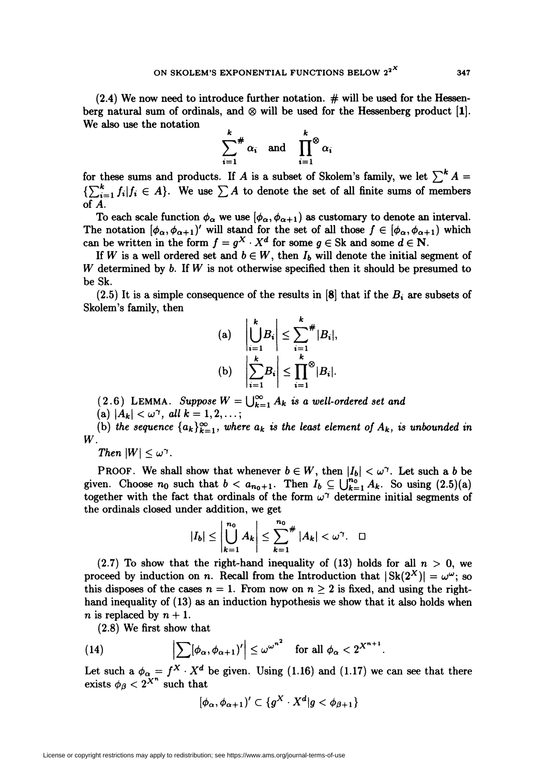$(2.4)$  We now need to introduce further notation.  $\#$  will be used for the Hessenberg natural sum of ordinals, and  $\otimes$  will be used for the Hessenberg product [1]. We also use the notation

$$
\sum_{i=1}^k \pi a_i \quad \text{and} \quad \prod_{i=1}^k \alpha_i
$$

for these sums and products. If A is a subset of Skolem's family, we let  $\sum^k A =$  ${\{\sum_{i=1}^k f_i | f_i \in A\}}$ . We use  $\sum A$  to denote the set of all finite sums of members of A.

To each scale function  $\phi_{\alpha}$  we use  $[\phi_{\alpha}, \phi_{\alpha+1})$  as customary to denote an interval. The notation  $[\phi_{\alpha}, \phi_{\alpha+1})'$  will stand for the set of all those  $f \in [\phi_{\alpha}, \phi_{\alpha+1})$  which can be written in the form  $f = g^X \cdot X^d$  for some  $g \in Sk$  and some  $d \in N$ .

If W is a well ordered set and  $b \in W$ , then  $I_b$  will denote the initial segment of W determined by b. If  $W$  is not otherwise specified then it should be presumed to be Sk.

(2.5) It is a simple consequence of the results in  $[8]$  that if the  $B_i$  are subsets of Skolem's family, then

(a) 
$$
\left|\bigcup_{i=1}^{k} B_i\right| \leq \sum_{i=1}^{k} \#|B_i|,
$$
  
(b) 
$$
\left|\sum_{i=1}^{k} B_i\right| \leq \prod_{i=1}^{k} \#|B_i|.
$$

(2.6) LEMMA. Suppose  $W = \bigcup_{k=1}^{\infty} A_k$  is a well-ordered set and

(a)  $|A_k| < \omega^{\gamma}$ , all  $k = 1, 2, ...;$ 

(b) the sequence  $\{a_k\}_{k=1}^{\infty}$ , where  $a_k$  is the least element of  $A_k$ , is unbounded in W.

Then  $|W|\leq \omega^{\gamma}$ .

PROOF. We shall show that whenever  $b \in W$ , then  $|I_b| < \omega^{\gamma}$ . Let such a b be given. Choose  $n_0$  such that  $b < a_{n_0+1}$ . Then  $I_b \subseteq \bigcup_{k=1}^{n_0} A_k$ . So using  $(2.5)(a)$ together with the fact that ordinals of the form  $\omega^{\gamma}$  determine initial segments of the ordinals closed under addition, we get

$$
|I_b| \leq \left|\bigcup_{k=1}^{n_0} A_k\right| \leq \sum_{k=1}^{n_0} \# |A_k| < \omega^\gamma. \quad \Box
$$

(2.7) To show that the right-hand inequality of (13) holds for all  $n > 0$ , we proceed by induction on n. Recall from the Introduction that  $|\text{Sk}(2^X)| = \omega^{\omega}$ ; so this disposes of the cases  $n = 1$ . From now on  $n \geq 2$  is fixed, and using the righthand inequality of (13) as an induction hypothesis we show that it also holds when *n* is replaced by  $n + 1$ .

(2.8) We first show that

(14) 
$$
\left|\sum [\phi_{\alpha}, \phi_{\alpha+1})'\right| \leq \omega^{\omega^{n^2}} \quad \text{for all } \phi_{\alpha} < 2^{X^{n+1}}
$$

Let such a  $\phi_{\alpha} = f^{\mathcal{X}} \cdot X^{\alpha}$  be given. Using (1.16) and (1.17) we can see that there exists  $\phi_{\beta} < 2^{X^{n}}$  such that

$$
[\phi_\alpha,\phi_{\alpha+1})'\subset \{g^X\cdot X^d|g<\phi_{\beta+1}\}
$$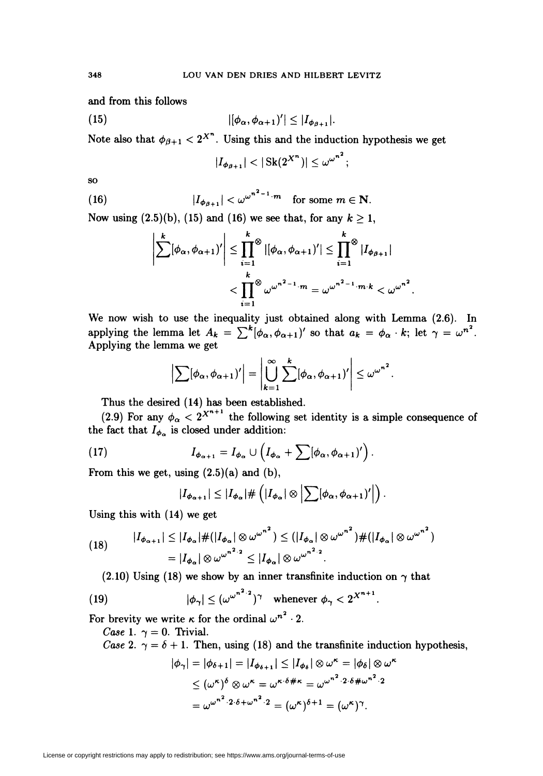and from this follows

$$
|(\phi_{\alpha}, \phi_{\alpha+1})'| \leq |I_{\phi_{\beta+1}}|.
$$

Note also that  $\phi_{\beta+1} < 2^{X^n}$ . Using this and the induction hypothesis we get

$$
|I_{\phi_{\beta+1}}| < |\operatorname{Sk}(2^{X^n})| \le \omega^{\omega^{n^2}};
$$

so

(16) 
$$
|I_{\phi_{\beta+1}}| < \omega^{\omega^{n^2-1}\cdot m} \quad \text{for some } m \in \mathbb{N}.
$$

Now using  $(2.5)(b)$ ,  $(15)$  and  $(16)$  we see that, for any  $k \ge 1$ ,

$$
\left|\sum_{i=1}^k [\phi_\alpha, \phi_{\alpha+1})'\right| \leq \prod_{i=1}^k \mathbb{I}[\phi_\alpha, \phi_{\alpha+1})'] \leq \prod_{i=1}^k \mathbb{I}_{\phi_{\beta+1}}|
$$

$$
< \prod_{i=1}^k \mathbb{I}^{\otimes} \omega^{\omega^{n^2-1} \cdot m} = \omega^{\omega^{n^2-1} \cdot m \cdot k} < \omega^{\omega^{n^2}}
$$

We now wish to use the inequality just obtained along with Lemma (2.6). In applying the lemma let  $A_k = \sum^{\kappa} [\phi_{\alpha}, \phi_{\alpha+1})'$  so that  $a_k = \phi_{\alpha} \cdot k$ ; let  $\gamma = \omega^{n^2}$ . Applying the lemma we get

$$
\left|\sum_{\alpha}[\phi_{\alpha},\phi_{\alpha+1})'\right|=\left|\bigcup_{k=1}^{\infty}\sum_{\alpha}[\phi_{\alpha},\phi_{\alpha+1})'\right|\leq \omega^{\omega^{n^2}}.
$$

Thus the desired (14) has been established.

(2.9) For any  $\phi_{\alpha} < 2^{x^{n+1}}$  the following set identity is a simple consequence of the fact that  $I_{\phi_{\alpha}}$  is closed under addition

(17) 
$$
I_{\phi_{\alpha+1}} = I_{\phi_{\alpha}} \cup \left( I_{\phi_{\alpha}} + \sum [\phi_{\alpha}, \phi_{\alpha+1})' \right).
$$

From this we get, using  $(2.5)(a)$  and  $(b)$ ,

$$
|I_{\phi_{\alpha+1}}| \leq |I_{\phi_{\alpha}}| \# \left( |I_{\phi_{\alpha}}| \otimes \left| \sum [\phi_{\alpha}, \phi_{\alpha+1})' \right| \right).
$$

Using this with (14) we get

$$
(18) \qquad |I_{\phi_{\alpha+1}}| \leq |I_{\phi_{\alpha}}| \# (|I_{\phi_{\alpha}}| \otimes \omega^{\omega^{n^2}}) \leq (|I_{\phi_{\alpha}}| \otimes \omega^{\omega^{n^2}}) \# (|I_{\phi_{\alpha}}| \otimes \omega^{\omega^{n^2}})
$$

$$
= |I_{\phi_{\alpha}}| \otimes \omega^{\omega^{n^2} \cdot 2} \leq |I_{\phi_{\alpha}}| \otimes \omega^{\omega^{n^2} \cdot 2}.
$$

(2.10) Using (18) we show by an inner transfinite induction on  $\gamma$  that

(19) 
$$
|\phi_{\gamma}| \leq (\omega^{\omega^{n^2} \cdot 2})^{\gamma} \quad \text{whenever} \ \phi_{\gamma} < 2^{X^{n+1}}.
$$

For brevity we write  $\kappa$  for the ordinal  $\omega^{n^2} \cdot 2$ 

*Case* 1.  $\gamma = 0$ . Trivial.

Case 2.  $\gamma = \delta + 1$ . Then, using (18) and the transfinite induction hypothesis,

$$
\begin{aligned} |\phi_{\gamma}| &= |\phi_{\delta+1}| = |I_{\phi_{\delta+1}}| \le |I_{\phi_{\delta}}| \otimes \omega^{\kappa} = |\phi_{\delta}| \otimes \omega \\ &\le (\omega^{\kappa})^{\delta} \otimes \omega^{\kappa} = \omega^{\kappa \cdot \delta + \kappa} = \omega^{\omega^{n^2} \cdot 2 \cdot \delta + \omega^{n^2} \cdot 2} \\ &= \omega^{\omega^{n^2} \cdot 2 \cdot \delta + \omega^{n^2} \cdot 2} = (\omega^{\kappa})^{\delta+1} = (\omega^{\kappa})^{\gamma} .\end{aligned}
$$